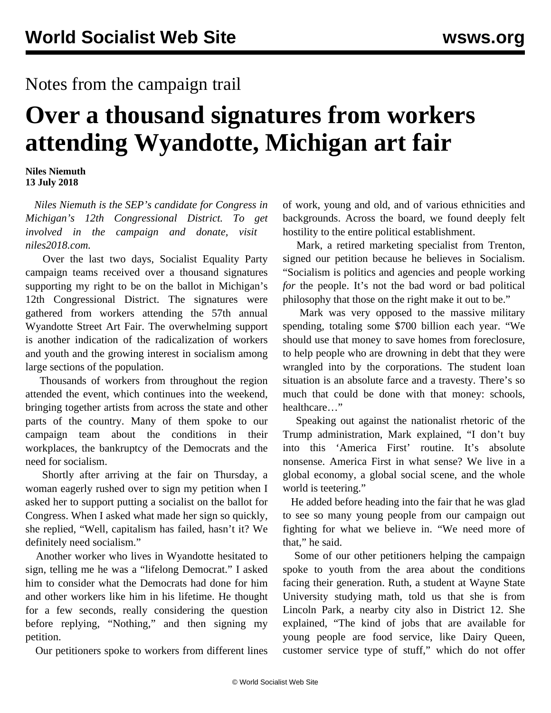## Notes from the campaign trail

## **Over a thousand signatures from workers attending Wyandotte, Michigan art fair**

**Niles Niemuth 13 July 2018**

 *Niles Niemuth is the SEP's candidate for Congress in Michigan's 12th Congressional District. To get involved in the campaign and donate, visit [niles2018.com](http://niles2018.com/).*

 Over the last two days, Socialist Equality Party campaign teams received over a thousand signatures supporting my right to be on the ballot in Michigan's 12th Congressional District. The signatures were gathered from workers attending the 57th annual Wyandotte Street Art Fair. The overwhelming support is another indication of the radicalization of workers and youth and the growing interest in socialism among large sections of the population.

 Thousands of workers from throughout the region attended the event, which continues into the weekend, bringing together artists from across the state and other parts of the country. Many of them spoke to our campaign team about the conditions in their workplaces, the bankruptcy of the Democrats and the need for socialism.

 Shortly after arriving at the fair on Thursday, a woman eagerly rushed over to sign my petition when I asked her to support putting a socialist on the ballot for Congress. When I asked what made her sign so quickly, she replied, "Well, capitalism has failed, hasn't it? We definitely need socialism."

 Another worker who lives in Wyandotte hesitated to sign, telling me he was a "lifelong Democrat." I asked him to consider what the Democrats had done for him and other workers like him in his lifetime. He thought for a few seconds, really considering the question before replying, "Nothing," and then signing my petition.

Our petitioners spoke to workers from different lines

of work, young and old, and of various ethnicities and backgrounds. Across the board, we found deeply felt hostility to the entire political establishment.

 Mark, a retired marketing specialist from Trenton, signed our petition because he believes in Socialism. "Socialism is politics and agencies and people working *for* the people. It's not the bad word or bad political philosophy that those on the right make it out to be."

 Mark was very opposed to the massive military spending, totaling some \$700 billion each year. "We should use that money to save homes from foreclosure, to help people who are drowning in debt that they were wrangled into by the corporations. The student loan situation is an absolute farce and a travesty. There's so much that could be done with that money: schools, healthcare…"

 Speaking out against the nationalist rhetoric of the Trump administration, Mark explained, "I don't buy into this 'America First' routine. It's absolute nonsense. America First in what sense? We live in a global economy, a global social scene, and the whole world is teetering."

 He added before heading into the fair that he was glad to see so many young people from our campaign out fighting for what we believe in. "We need more of that," he said.

 Some of our other petitioners helping the campaign spoke to youth from the area about the conditions facing their generation. Ruth, a student at Wayne State University studying math, told us that she is from Lincoln Park, a nearby city also in District 12. She explained, "The kind of jobs that are available for young people are food service, like Dairy Queen, customer service type of stuff," which do not offer